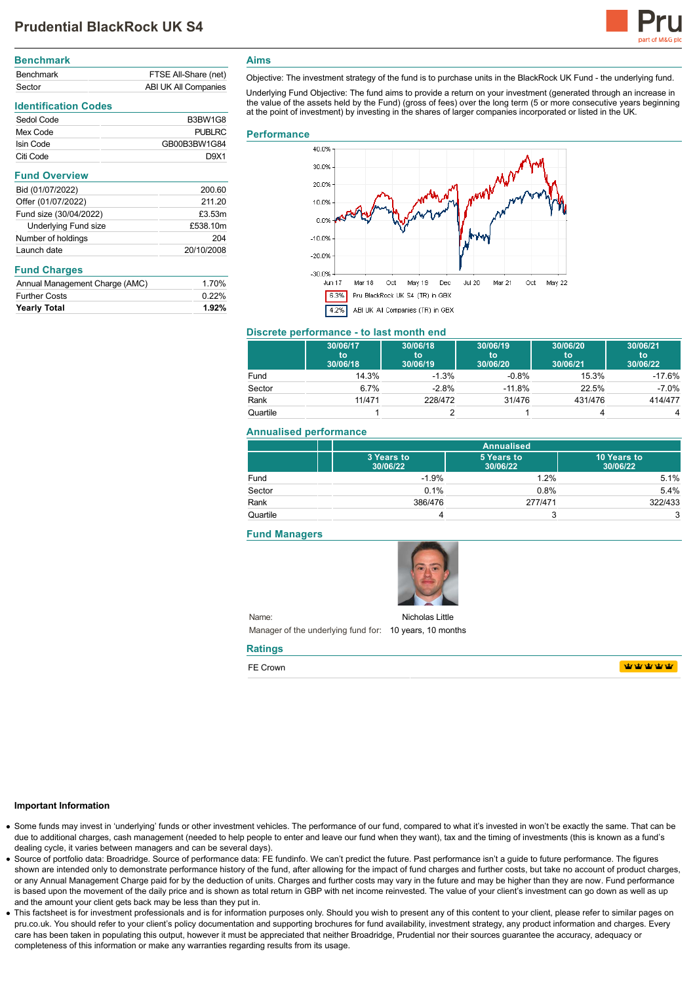

# **Benchmark** Benchmark FTSE All-Share (net) Sector ABI UK All Companies

# **Identification Codes**

| Sedol Code | B3BW1G8       |
|------------|---------------|
| Mex Code   | <b>PUBLRC</b> |
| Isin Code  | GB00B3BW1G84  |
| Citi Code  | D.9X1         |

| Bid (01/07/2022)       | 200.60     |
|------------------------|------------|
| Offer (01/07/2022)     | 211.20     |
| Fund size (30/04/2022) | £3.53m     |
| Underlying Fund size   | £538.10m   |
| Number of holdings     | 204        |
| Launch date            | 20/10/2008 |
|                        |            |

## **Fund Charges**

| Annual Management Charge (AMC) | 1.70%    |
|--------------------------------|----------|
| <b>Further Costs</b>           | $0.22\%$ |
| <b>Yearly Total</b>            | 1.92%    |

## **Aims**

Objective: The investment strategy of the fund is to purchase units in the BlackRock UK Fund - the underlying fund.

Underlying Fund Objective: The fund aims to provide a return on your investment (generated through an increase in the value of the assets held by the Fund) (gross of fees) over the long term (5 or more consecutive years beginning at the point of investment) by investing in the shares of larger companies incorporated or listed in the UK.

### **Performance**



## **Discrete performance - to last month end**

|          | 30/06/17<br>to<br>30/06/18 | 30/06/18<br>to<br>30/06/19 | 30/06/19<br>to<br>30/06/20 | 30/06/20<br>to<br>30/06/21 | 30/06/21<br>to<br>30/06/22 |
|----------|----------------------------|----------------------------|----------------------------|----------------------------|----------------------------|
| Fund     | 14.3%                      | $-1.3%$                    | $-0.8%$                    | 15.3%                      | $-17.6%$                   |
| Sector   | 6.7%                       | $-2.8%$                    | $-11.8%$                   | 22.5%                      | $-7.0\%$                   |
| Rank     | 11/471                     | 228/472                    | 31/476                     | 431/476                    | 414/477                    |
| Quartile |                            |                            |                            |                            | 4                          |

### **Annualised performance**

|          |                        | <b>Annualised</b>      |                         |  |
|----------|------------------------|------------------------|-------------------------|--|
|          | 3 Years to<br>30/06/22 | 5 Years to<br>30/06/22 | 10 Years to<br>30/06/22 |  |
| Fund     | $-1.9%$                | 1.2%                   | 5.1%                    |  |
| Sector   | 0.1%                   | 0.8%                   | 5.4%                    |  |
| Rank     | 386/476                | 277/471                | 322/433                 |  |
| Quartile |                        |                        | 3                       |  |

#### **Fund Managers**



Name: Manager of the underlying fund for: 10 years, 10 months Nicholas Little

#### **Ratings**

FE Crown

**WWWWW** 

#### **Important Information**

- Some funds may invest in 'underlying' funds or other investment vehicles. The performance of our fund, compared to what it's invested in won't be exactly the same. That can be due to additional charges, cash management (needed to help people to enter and leave our fund when they want), tax and the timing of investments (this is known as a fund's dealing cycle, it varies between managers and can be several days).
- Source of portfolio data: Broadridge. Source of performance data: FE fundinfo. We can't predict the future. Past performance isn't a guide to future performance. The figures shown are intended only to demonstrate performance history of the fund, after allowing for the impact of fund charges and further costs, but take no account of product charges, or any Annual Management Charge paid for by the deduction of units. Charges and further costs may vary in the future and may be higher than they are now. Fund performance is based upon the movement of the daily price and is shown as total return in GBP with net income reinvested. The value of your client's investment can go down as well as up and the amount your client gets back may be less than they put in.
- This factsheet is for investment professionals and is for information purposes only. Should you wish to present any of this content to your client, please refer to similar pages on pru.co.uk. You should refer to your client's policy documentation and supporting brochures for fund availability, investment strategy, any product information and charges. Every care has been taken in populating this output, however it must be appreciated that neither Broadridge. Prudential nor their sources guarantee the accuracy, adequacy or completeness of this information or make any warranties regarding results from its usage.